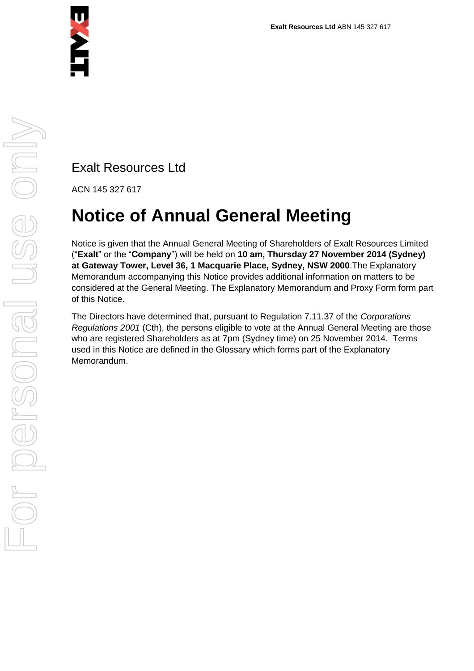

Exalt Resources Ltd

ACN 145 327 617

# **Notice of Annual General Meeting**

Notice is given that the Annual General Meeting of Shareholders of Exalt Resources Limited ("**Exalt**" or the "**Company**") will be held on **10 am, Thursday 27 November 2014 (Sydney) at Gateway Tower, Level 36, 1 Macquarie Place, Sydney, NSW 2000**.The Explanatory Memorandum accompanying this Notice provides additional information on matters to be considered at the General Meeting. The Explanatory Memorandum and Proxy Form form part of this Notice.

The Directors have determined that, pursuant to Regulation 7.11.37 of the *Corporations Regulations 2001* (Cth), the persons eligible to vote at the Annual General Meeting are those who are registered Shareholders as at 7pm (Sydney time) on 25 November 2014. Terms used in this Notice are defined in the Glossary which forms part of the Explanatory Memorandum.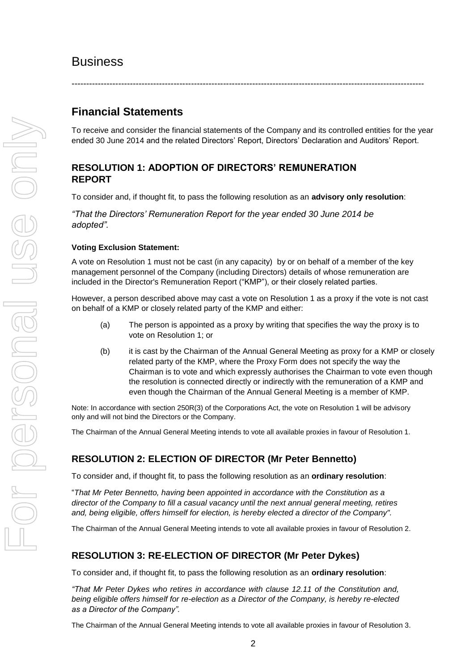# **Business**

#### -------------------------------------------------------------------------------------------------------------------------

# **Financial Statements**

To receive and consider the financial statements of the Company and its controlled entities for the year ended 30 June 2014 and the related Directors' Report, Directors' Declaration and Auditors' Report.

# **RESOLUTION 1: ADOPTION OF DIRECTORS' REMUNERATION REPORT**

To consider and, if thought fit, to pass the following resolution as an **advisory only resolution**:

*"That the Directors' Remuneration Report for the year ended 30 June 2014 be adopted".*

#### **Voting Exclusion Statement:**

A vote on Resolution 1 must not be cast (in any capacity) by or on behalf of a member of the key management personnel of the Company (including Directors) details of whose remuneration are included in the Director's Remuneration Report ("KMP"), or their closely related parties.

However, a person described above may cast a vote on Resolution 1 as a proxy if the vote is not cast on behalf of a KMP or closely related party of the KMP and either:

- (a) The person is appointed as a proxy by writing that specifies the way the proxy is to vote on Resolution 1; or
- (b) it is cast by the Chairman of the Annual General Meeting as proxy for a KMP or closely related party of the KMP, where the Proxy Form does not specify the way the Chairman is to vote and which expressly authorises the Chairman to vote even though the resolution is connected directly or indirectly with the remuneration of a KMP and even though the Chairman of the Annual General Meeting is a member of KMP.

Note: In accordance with section 250R(3) of the Corporations Act, the vote on Resolution 1 will be advisory only and will not bind the Directors or the Company.

The Chairman of the Annual General Meeting intends to vote all available proxies in favour of Resolution 1.

# **RESOLUTION 2: ELECTION OF DIRECTOR (Mr Peter Bennetto)**

To consider and, if thought fit, to pass the following resolution as an **ordinary resolution**:

"*That Mr Peter Bennetto, having been appointed in accordance with the Constitution as a director of the Company to fill a casual vacancy until the next annual general meeting, retires and, being eligible, offers himself for election, is hereby elected a director of the Company".* 

The Chairman of the Annual General Meeting intends to vote all available proxies in favour of Resolution 2.

### **RESOLUTION 3: RE-ELECTION OF DIRECTOR (Mr Peter Dykes)**

To consider and, if thought fit, to pass the following resolution as an **ordinary resolution**:

*"That Mr Peter Dykes who retires in accordance with clause 12.11 of the Constitution and, being eligible offers himself for re-election as a Director of the Company, is hereby re-elected as a Director of the Company".*

The Chairman of the Annual General Meeting intends to vote all available proxies in favour of Resolution 3.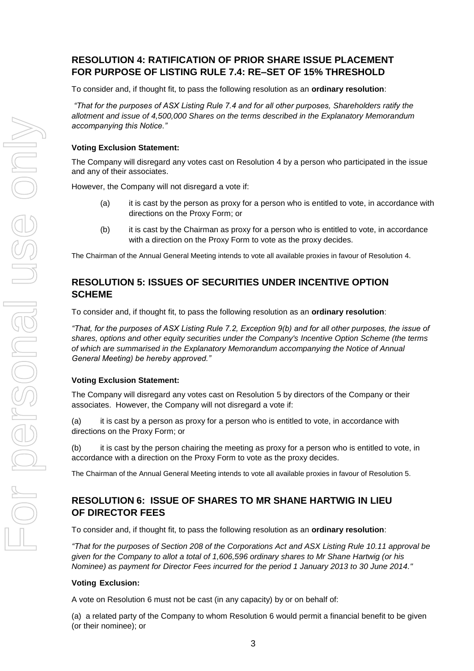# **RESOLUTION 4: RATIFICATION OF PRIOR SHARE ISSUE PLACEMENT FOR PURPOSE OF LISTING RULE 7.4: RE–SET OF 15% THRESHOLD**

To consider and, if thought fit, to pass the following resolution as an **ordinary resolution**:

*"That for the purposes of ASX Listing Rule 7.4 and for all other purposes, Shareholders ratify the allotment and issue of 4,500,000 Shares on the terms described in the Explanatory Memorandum accompanying this Notice."*

#### **Voting Exclusion Statement:**

The Company will disregard any votes cast on Resolution 4 by a person who participated in the issue and any of their associates.

However, the Company will not disregard a vote if:

- (a) it is cast by the person as proxy for a person who is entitled to vote, in accordance with directions on the Proxy Form; or
- (b) it is cast by the Chairman as proxy for a person who is entitled to vote, in accordance with a direction on the Proxy Form to vote as the proxy decides.

The Chairman of the Annual General Meeting intends to vote all available proxies in favour of Resolution 4.

# **RESOLUTION 5: ISSUES OF SECURITIES UNDER INCENTIVE OPTION SCHEME**

To consider and, if thought fit, to pass the following resolution as an **ordinary resolution**:

*"That, for the purposes of ASX Listing Rule 7.2, Exception 9(b) and for all other purposes, the issue of shares, options and other equity securities under the Company's Incentive Option Scheme (the terms of which are summarised in the Explanatory Memorandum accompanying the Notice of Annual General Meeting) be hereby approved."*

#### **Voting Exclusion Statement:**

The Company will disregard any votes cast on Resolution 5 by directors of the Company or their associates. However, the Company will not disregard a vote if:

(a) it is cast by a person as proxy for a person who is entitled to vote, in accordance with directions on the Proxy Form; or

(b) it is cast by the person chairing the meeting as proxy for a person who is entitled to vote, in accordance with a direction on the Proxy Form to vote as the proxy decides.

The Chairman of the Annual General Meeting intends to vote all available proxies in favour of Resolution 5.

# **RESOLUTION 6: ISSUE OF SHARES TO MR SHANE HARTWIG IN LIEU OF DIRECTOR FEES**

To consider and, if thought fit, to pass the following resolution as an **ordinary resolution**:

*"That for the purposes of Section 208 of the Corporations Act and ASX Listing Rule 10.11 approval be given for the Company to allot a total of 1,606,596 ordinary shares to Mr Shane Hartwig (or his Nominee) as payment for Director Fees incurred for the period 1 January 2013 to 30 June 2014."*

#### **Voting Exclusion:**

A vote on Resolution 6 must not be cast (in any capacity) by or on behalf of:

(a) a related party of the Company to whom Resolution 6 would permit a financial benefit to be given (or their nominee); or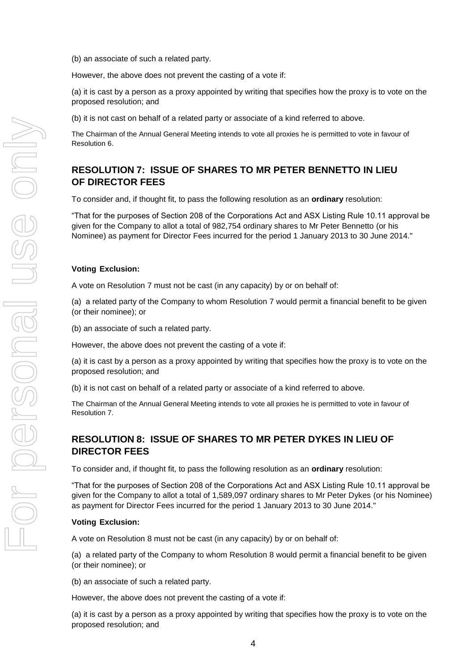(b) an associate of such a related party.

However, the above does not prevent the casting of a vote if:

(a) it is cast by a person as a proxy appointed by writing that specifies how the proxy is to vote on the proposed resolution; and

(b) it is not cast on behalf of a related party or associate of a kind referred to above.

The Chairman of the Annual General Meeting intends to vote all proxies he is permitted to vote in favour of Resolution 6.

# **RESOLUTION 7: ISSUE OF SHARES TO MR PETER BENNETTO IN LIEU OF DIRECTOR FEES**

To consider and, if thought fit, to pass the following resolution as an **ordinary** resolution:

"That for the purposes of Section 208 of the Corporations Act and ASX Listing Rule 10.11 approval be given for the Company to allot a total of 982,754 ordinary shares to Mr Peter Bennetto (or his Nominee) as payment for Director Fees incurred for the period 1 January 2013 to 30 June 2014."

#### **Voting Exclusion:**

A vote on Resolution 7 must not be cast (in any capacity) by or on behalf of:

(a) a related party of the Company to whom Resolution 7 would permit a financial benefit to be given (or their nominee); or

(b) an associate of such a related party.

However, the above does not prevent the casting of a vote if:

(a) it is cast by a person as a proxy appointed by writing that specifies how the proxy is to vote on the proposed resolution; and

(b) it is not cast on behalf of a related party or associate of a kind referred to above.

The Chairman of the Annual General Meeting intends to vote all proxies he is permitted to vote in favour of Resolution 7.

# **RESOLUTION 8: ISSUE OF SHARES TO MR PETER DYKES IN LIEU OF DIRECTOR FEES**

To consider and, if thought fit, to pass the following resolution as an **ordinary** resolution:

"That for the purposes of Section 208 of the Corporations Act and ASX Listing Rule 10.11 approval be given for the Company to allot a total of 1,589,097 ordinary shares to Mr Peter Dykes (or his Nominee) as payment for Director Fees incurred for the period 1 January 2013 to 30 June 2014."

#### **Voting Exclusion:**

A vote on Resolution 8 must not be cast (in any capacity) by or on behalf of:

(a) a related party of the Company to whom Resolution 8 would permit a financial benefit to be given (or their nominee); or

(b) an associate of such a related party.

However, the above does not prevent the casting of a vote if:

(a) it is cast by a person as a proxy appointed by writing that specifies how the proxy is to vote on the proposed resolution; and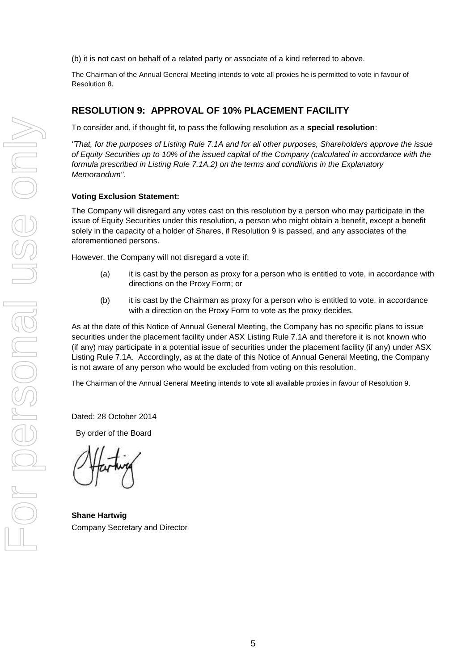(b) it is not cast on behalf of a related party or associate of a kind referred to above.

The Chairman of the Annual General Meeting intends to vote all proxies he is permitted to vote in favour of Resolution 8.

### **RESOLUTION 9: APPROVAL OF 10% PLACEMENT FACILITY**

To consider and, if thought fit, to pass the following resolution as a **special resolution**:

*"That, for the purposes of Listing Rule 7.1A and for all other purposes, Shareholders approve the issue of Equity Securities up to 10% of the issued capital of the Company (calculated in accordance with the formula prescribed in Listing Rule 7.1A.2) on the terms and conditions in the Explanatory Memorandum".*

#### **Voting Exclusion Statement:**

The Company will disregard any votes cast on this resolution by a person who may participate in the issue of Equity Securities under this resolution, a person who might obtain a benefit, except a benefit solely in the capacity of a holder of Shares, if Resolution 9 is passed, and any associates of the aforementioned persons.

However, the Company will not disregard a vote if:

- (a) it is cast by the person as proxy for a person who is entitled to vote, in accordance with directions on the Proxy Form; or
- (b) it is cast by the Chairman as proxy for a person who is entitled to vote, in accordance with a direction on the Proxy Form to vote as the proxy decides.

As at the date of this Notice of Annual General Meeting, the Company has no specific plans to issue securities under the placement facility under ASX Listing Rule 7.1A and therefore it is not known who (if any) may participate in a potential issue of securities under the placement facility (if any) under ASX Listing Rule 7.1A. Accordingly, as at the date of this Notice of Annual General Meeting, the Company is not aware of any person who would be excluded from voting on this resolution.

The Chairman of the Annual General Meeting intends to vote all available proxies in favour of Resolution 9.

Dated: 28 October 2014

By order of the Board

**Shane Hartwig** Company Secretary and Director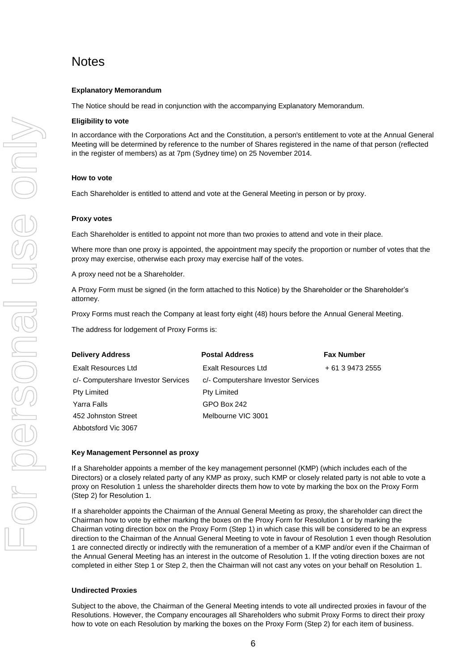# **Notes**

#### **Explanatory Memorandum**

The Notice should be read in conjunction with the accompanying Explanatory Memorandum.

#### **Eligibility to vote**

In accordance with the Corporations Act and the Constitution, a person's entitlement to vote at the Annual General Meeting will be determined by reference to the number of Shares registered in the name of that person (reflected in the register of members) as at 7pm (Sydney time) on 25 November 2014.

#### **How to vote**

Each Shareholder is entitled to attend and vote at the General Meeting in person or by proxy.

#### **Proxy votes**

Each Shareholder is entitled to appoint not more than two proxies to attend and vote in their place.

Where more than one proxy is appointed, the appointment may specify the proportion or number of votes that the proxy may exercise, otherwise each proxy may exercise half of the votes.

A proxy need not be a Shareholder.

A Proxy Form must be signed (in the form attached to this Notice) by the Shareholder or the Shareholder's attorney.

Proxy Forms must reach the Company at least forty eight (48) hours before the Annual General Meeting.

The address for lodgement of Proxy Forms is:

| <b>Delivery Address</b>             | <b>Postal Address</b>               | <b>Fax Number</b> |
|-------------------------------------|-------------------------------------|-------------------|
| Exalt Resources Ltd                 | Exalt Resources Ltd                 | + 61 3 9473 2555  |
| c/- Computershare Investor Services | c/- Computershare Investor Services |                   |
| Pty Limited                         | <b>Pty Limited</b>                  |                   |
| Yarra Falls                         | GPO Box 242                         |                   |
| 452 Johnston Street                 | Melbourne VIC 3001                  |                   |
| Abbotsford Vic 3067                 |                                     |                   |

#### **Key Management Personnel as proxy**

If a Shareholder appoints a member of the key management personnel (KMP) (which includes each of the Directors) or a closely related party of any KMP as proxy, such KMP or closely related party is not able to vote a proxy on Resolution 1 unless the shareholder directs them how to vote by marking the box on the Proxy Form (Step 2) for Resolution 1.

If a shareholder appoints the Chairman of the Annual General Meeting as proxy, the shareholder can direct the Chairman how to vote by either marking the boxes on the Proxy Form for Resolution 1 or by marking the Chairman voting direction box on the Proxy Form (Step 1) in which case this will be considered to be an express direction to the Chairman of the Annual General Meeting to vote in favour of Resolution 1 even though Resolution 1 are connected directly or indirectly with the remuneration of a member of a KMP and/or even if the Chairman of the Annual General Meeting has an interest in the outcome of Resolution 1. If the voting direction boxes are not completed in either Step 1 or Step 2, then the Chairman will not cast any votes on your behalf on Resolution 1.

#### **Undirected Proxies**

Subject to the above, the Chairman of the General Meeting intends to vote all undirected proxies in favour of the Resolutions. However, the Company encourages all Shareholders who submit Proxy Forms to direct their proxy how to vote on each Resolution by marking the boxes on the Proxy Form (Step 2) for each item of business.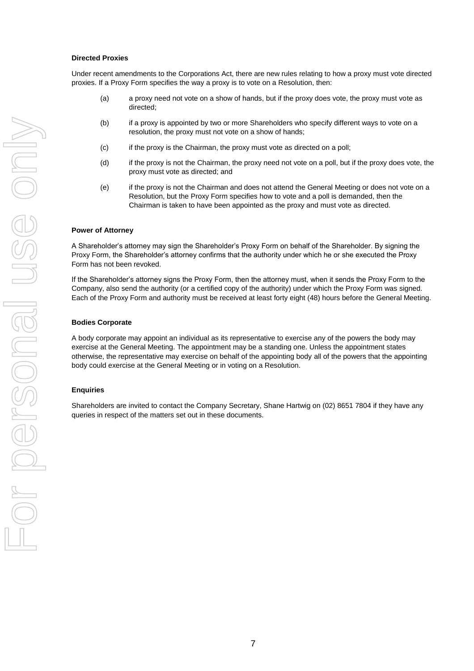#### **Directed Proxies**

Under recent amendments to the Corporations Act, there are new rules relating to how a proxy must vote directed proxies. If a Proxy Form specifies the way a proxy is to vote on a Resolution, then:

- (a) a proxy need not vote on a show of hands, but if the proxy does vote, the proxy must vote as directed;
- (b) if a proxy is appointed by two or more Shareholders who specify different ways to vote on a resolution, the proxy must not vote on a show of hands;
- (c) if the proxy is the Chairman, the proxy must vote as directed on a poll;
- (d) if the proxy is not the Chairman, the proxy need not vote on a poll, but if the proxy does vote, the proxy must vote as directed; and
- (e) if the proxy is not the Chairman and does not attend the General Meeting or does not vote on a Resolution, but the Proxy Form specifies how to vote and a poll is demanded, then the Chairman is taken to have been appointed as the proxy and must vote as directed.

#### **Power of Attorney**

A Shareholder's attorney may sign the Shareholder's Proxy Form on behalf of the Shareholder. By signing the Proxy Form, the Shareholder's attorney confirms that the authority under which he or she executed the Proxy Form has not been revoked.

If the Shareholder's attorney signs the Proxy Form, then the attorney must, when it sends the Proxy Form to the Company, also send the authority (or a certified copy of the authority) under which the Proxy Form was signed. Each of the Proxy Form and authority must be received at least forty eight (48) hours before the General Meeting.

#### **Bodies Corporate**

A body corporate may appoint an individual as its representative to exercise any of the powers the body may exercise at the General Meeting. The appointment may be a standing one. Unless the appointment states otherwise, the representative may exercise on behalf of the appointing body all of the powers that the appointing body could exercise at the General Meeting or in voting on a Resolution.

#### **Enquiries**

Shareholders are invited to contact the Company Secretary, Shane Hartwig on (02) 8651 7804 if they have any queries in respect of the matters set out in these documents.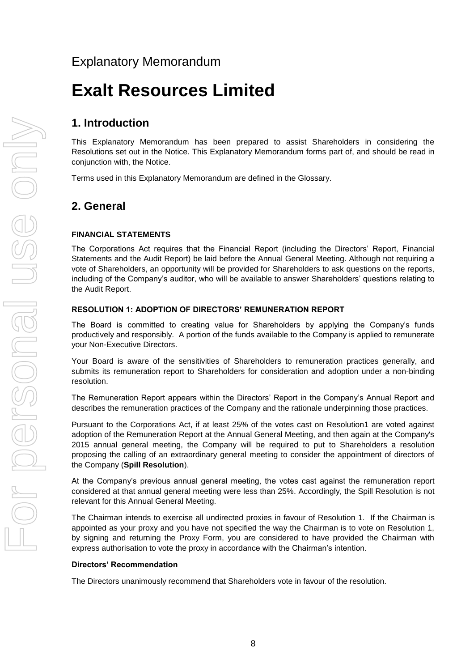# Explanatory Memorandum

# **Exalt Resources Limited**

# **1. Introduction**

This Explanatory Memorandum has been prepared to assist Shareholders in considering the Resolutions set out in the Notice. This Explanatory Memorandum forms part of, and should be read in conjunction with, the Notice.

Terms used in this Explanatory Memorandum are defined in the Glossary.

# **2. General**

#### **FINANCIAL STATEMENTS**

The Corporations Act requires that the Financial Report (including the Directors' Report, Financial Statements and the Audit Report) be laid before the Annual General Meeting. Although not requiring a vote of Shareholders, an opportunity will be provided for Shareholders to ask questions on the reports, including of the Company's auditor, who will be available to answer Shareholders' questions relating to the Audit Report.

#### **RESOLUTION 1: ADOPTION OF DIRECTORS' REMUNERATION REPORT**

The Board is committed to creating value for Shareholders by applying the Company's funds productively and responsibly. A portion of the funds available to the Company is applied to remunerate your Non-Executive Directors.

Your Board is aware of the sensitivities of Shareholders to remuneration practices generally, and submits its remuneration report to Shareholders for consideration and adoption under a non-binding resolution.

The Remuneration Report appears within the Directors' Report in the Company's Annual Report and describes the remuneration practices of the Company and the rationale underpinning those practices.

Pursuant to the Corporations Act, if at least 25% of the votes cast on Resolution1 are voted against adoption of the Remuneration Report at the Annual General Meeting, and then again at the Company's 2015 annual general meeting, the Company will be required to put to Shareholders a resolution proposing the calling of an extraordinary general meeting to consider the appointment of directors of the Company (**Spill Resolution**).

At the Company's previous annual general meeting, the votes cast against the remuneration report considered at that annual general meeting were less than 25%. Accordingly, the Spill Resolution is not relevant for this Annual General Meeting.

The Chairman intends to exercise all undirected proxies in favour of Resolution 1. If the Chairman is appointed as your proxy and you have not specified the way the Chairman is to vote on Resolution 1, by signing and returning the Proxy Form, you are considered to have provided the Chairman with express authorisation to vote the proxy in accordance with the Chairman's intention.

#### **Directors' Recommendation**

The Directors unanimously recommend that Shareholders vote in favour of the resolution.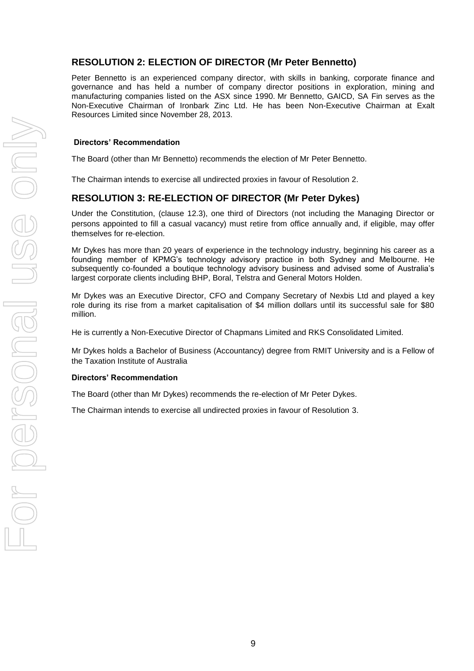### **RESOLUTION 2: ELECTION OF DIRECTOR (Mr Peter Bennetto)**

Peter Bennetto is an experienced company director, with skills in banking, corporate finance and governance and has held a number of company director positions in exploration, mining and manufacturing companies listed on the ASX since 1990. Mr Bennetto, GAICD, SA Fin serves as the Non-Executive Chairman of Ironbark Zinc Ltd. He has been Non-Executive Chairman at Exalt Resources Limited since November 28, 2013.

#### **Directors' Recommendation**

The Board (other than Mr Bennetto) recommends the election of Mr Peter Bennetto.

The Chairman intends to exercise all undirected proxies in favour of Resolution 2.

#### **RESOLUTION 3: RE-ELECTION OF DIRECTOR (Mr Peter Dykes)**

Under the Constitution, (clause 12.3), one third of Directors (not including the Managing Director or persons appointed to fill a casual vacancy) must retire from office annually and, if eligible, may offer themselves for re-election.

Mr Dykes has more than 20 years of experience in the technology industry, beginning his career as a founding member of KPMG's technology advisory practice in both Sydney and Melbourne. He subsequently co-founded a boutique technology advisory business and advised some of Australia's largest corporate clients including BHP, Boral, Telstra and General Motors Holden.

Mr Dykes was an Executive Director, CFO and Company Secretary of Nexbis Ltd and played a key role during its rise from a market capitalisation of \$4 million dollars until its successful sale for \$80 million.

He is currently a Non-Executive Director of Chapmans Limited and RKS Consolidated Limited.

Mr Dykes holds a Bachelor of Business (Accountancy) degree from RMIT University and is a Fellow of the Taxation Institute of Australia

#### **Directors' Recommendation**

The Board (other than Mr Dykes) recommends the re-election of Mr Peter Dykes.

The Chairman intends to exercise all undirected proxies in favour of Resolution 3.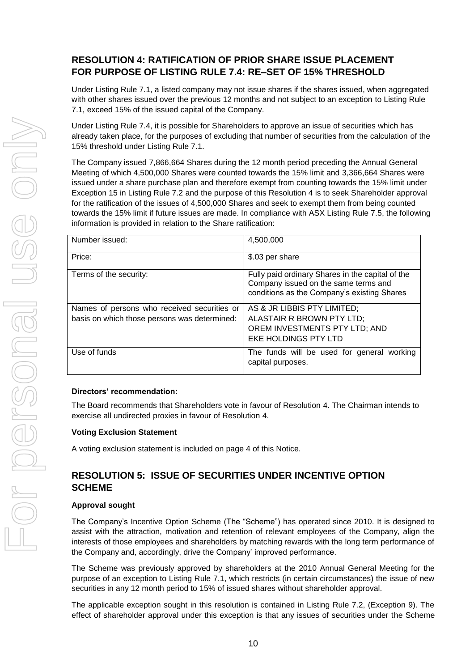# **RESOLUTION 4: RATIFICATION OF PRIOR SHARE ISSUE PLACEMENT FOR PURPOSE OF LISTING RULE 7.4: RE–SET OF 15% THRESHOLD**

Under Listing Rule 7.1, a listed company may not issue shares if the shares issued, when aggregated with other shares issued over the previous 12 months and not subject to an exception to Listing Rule 7.1, exceed 15% of the issued capital of the Company.

Under Listing Rule 7.4, it is possible for Shareholders to approve an issue of securities which has already taken place, for the purposes of excluding that number of securities from the calculation of the 15% threshold under Listing Rule 7.1.

The Company issued 7,866,664 Shares during the 12 month period preceding the Annual General Meeting of which 4,500,000 Shares were counted towards the 15% limit and 3,366,664 Shares were issued under a share purchase plan and therefore exempt from counting towards the 15% limit under Exception 15 in Listing Rule 7.2 and the purpose of this Resolution 4 is to seek Shareholder approval for the ratification of the issues of 4,500,000 Shares and seek to exempt them from being counted towards the 15% limit if future issues are made. In compliance with ASX Listing Rule 7.5, the following information is provided in relation to the Share ratification:

| Number issued:                                                                              | 4,500,000                                                                                                                               |
|---------------------------------------------------------------------------------------------|-----------------------------------------------------------------------------------------------------------------------------------------|
| Price:                                                                                      | \$.03 per share                                                                                                                         |
| Terms of the security:                                                                      | Fully paid ordinary Shares in the capital of the<br>Company issued on the same terms and<br>conditions as the Company's existing Shares |
| Names of persons who received securities or<br>basis on which those persons was determined: | AS & JR LIBBIS PTY LIMITED;<br>ALASTAIR R BROWN PTY LTD;<br>OREM INVESTMENTS PTY LTD; AND<br>EKE HOLDINGS PTY LTD                       |
| Use of funds                                                                                | The funds will be used for general working<br>capital purposes.                                                                         |

#### **Directors' recommendation:**

The Board recommends that Shareholders vote in favour of Resolution 4. The Chairman intends to exercise all undirected proxies in favour of Resolution 4.

#### **Voting Exclusion Statement**

A voting exclusion statement is included on page 4 of this Notice.

# **RESOLUTION 5: ISSUE OF SECURITIES UNDER INCENTIVE OPTION SCHEME**

#### **Approval sought**

The Company's Incentive Option Scheme (The "Scheme") has operated since 2010. It is designed to assist with the attraction, motivation and retention of relevant employees of the Company, align the interests of those employees and shareholders by matching rewards with the long term performance of the Company and, accordingly, drive the Company' improved performance.

The Scheme was previously approved by shareholders at the 2010 Annual General Meeting for the purpose of an exception to Listing Rule 7.1, which restricts (in certain circumstances) the issue of new securities in any 12 month period to 15% of issued shares without shareholder approval.

The applicable exception sought in this resolution is contained in Listing Rule 7.2, (Exception 9). The effect of shareholder approval under this exception is that any issues of securities under the Scheme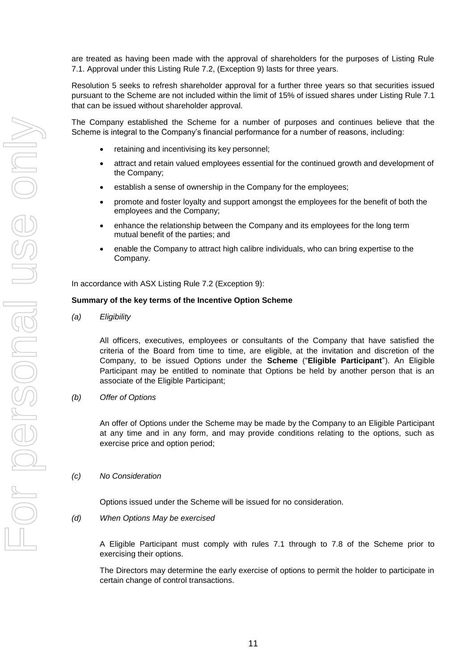are treated as having been made with the approval of shareholders for the purposes of Listing Rule 7.1. Approval under this Listing Rule 7.2, (Exception 9) lasts for three years.

Resolution 5 seeks to refresh shareholder approval for a further three years so that securities issued pursuant to the Scheme are not included within the limit of 15% of issued shares under Listing Rule 7.1 that can be issued without shareholder approval.

The Company established the Scheme for a number of purposes and continues believe that the Scheme is integral to the Company's financial performance for a number of reasons, including:

- retaining and incentivising its key personnel;
- attract and retain valued employees essential for the continued growth and development of the Company;
- establish a sense of ownership in the Company for the employees;
- promote and foster loyalty and support amongst the employees for the benefit of both the employees and the Company;
- enhance the relationship between the Company and its employees for the long term mutual benefit of the parties; and
- enable the Company to attract high calibre individuals, who can bring expertise to the Company.

In accordance with ASX Listing Rule 7.2 (Exception 9):

#### **Summary of the key terms of the Incentive Option Scheme**

*(a) Eligibility*

All officers, executives, employees or consultants of the Company that have satisfied the criteria of the Board from time to time, are eligible, at the invitation and discretion of the Company, to be issued Options under the **Scheme** ("**Eligible Participant**"). An Eligible Participant may be entitled to nominate that Options be held by another person that is an associate of the Eligible Participant;

*(b) Offer of Options*

An offer of Options under the Scheme may be made by the Company to an Eligible Participant at any time and in any form, and may provide conditions relating to the options, such as exercise price and option period;

#### *(c) No Consideration*

Options issued under the Scheme will be issued for no consideration.

*(d) When Options May be exercised*

A Eligible Participant must comply with rules 7.1 through to 7.8 of the Scheme prior to exercising their options.

The Directors may determine the early exercise of options to permit the holder to participate in certain change of control transactions.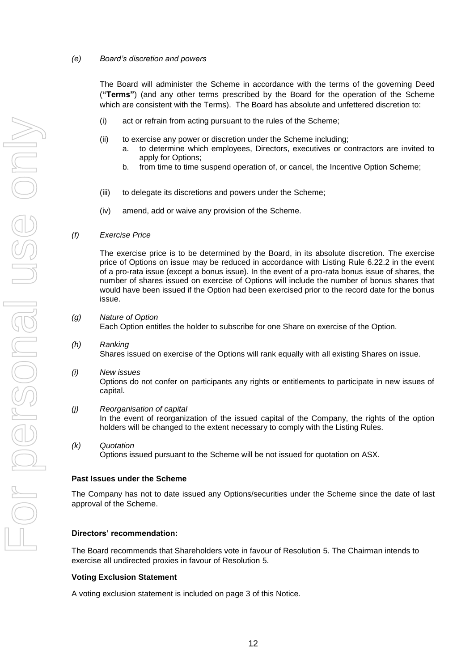#### *(e) Board's discretion and powers*

The Board will administer the Scheme in accordance with the terms of the governing Deed (**"Terms"**) (and any other terms prescribed by the Board for the operation of the Scheme which are consistent with the Terms). The Board has absolute and unfettered discretion to:

- (i) act or refrain from acting pursuant to the rules of the Scheme;
- (ii) to exercise any power or discretion under the Scheme including;
	- a. to determine which employees, Directors, executives or contractors are invited to apply for Options;
	- b. from time to time suspend operation of, or cancel, the Incentive Option Scheme;
- (iii) to delegate its discretions and powers under the Scheme;
- (iv) amend, add or waive any provision of the Scheme.

#### *(f) Exercise Price*

The exercise price is to be determined by the Board, in its absolute discretion. The exercise price of Options on issue may be reduced in accordance with Listing Rule 6.22.2 in the event of a pro-rata issue (except a bonus issue). In the event of a pro-rata bonus issue of shares, the number of shares issued on exercise of Options will include the number of bonus shares that would have been issued if the Option had been exercised prior to the record date for the bonus issue.

- *(g) Nature of Option* Each Option entitles the holder to subscribe for one Share on exercise of the Option.
- *(h) Ranking* Shares issued on exercise of the Options will rank equally with all existing Shares on issue.
- *(i) New issues* Options do not confer on participants any rights or entitlements to participate in new issues of capital.
- *(j) Reorganisation of capital* In the event of reorganization of the issued capital of the Company, the rights of the option holders will be changed to the extent necessary to comply with the Listing Rules.
- *(k) Quotation* Options issued pursuant to the Scheme will be not issued for quotation on ASX.

#### **Past Issues under the Scheme**

The Company has not to date issued any Options/securities under the Scheme since the date of last approval of the Scheme.

#### **Directors' recommendation:**

The Board recommends that Shareholders vote in favour of Resolution 5. The Chairman intends to exercise all undirected proxies in favour of Resolution 5.

#### **Voting Exclusion Statement**

A voting exclusion statement is included on page 3 of this Notice.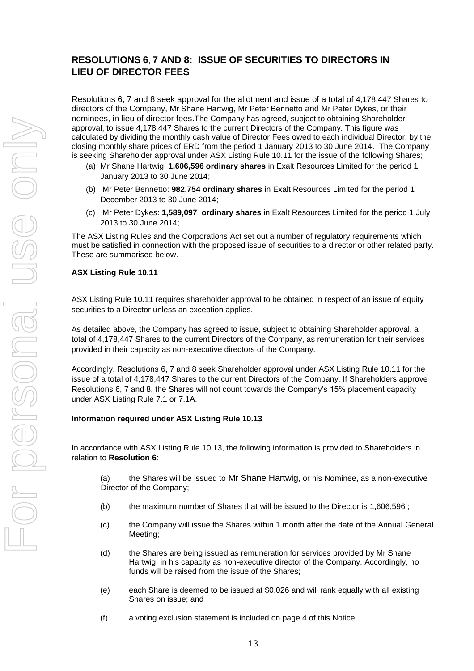# **RESOLUTIONS 6**, **7 AND 8: ISSUE OF SECURITIES TO DIRECTORS IN LIEU OF DIRECTOR FEES**

Resolutions 6, 7 and 8 seek approval for the allotment and issue of a total of 4,178,447 Shares to directors of the Company, Mr Shane Hartwig, Mr Peter Bennetto and Mr Peter Dykes, or their nominees, in lieu of director fees.The Company has agreed, subject to obtaining Shareholder approval, to issue 4,178,447 Shares to the current Directors of the Company. This figure was calculated by dividing the monthly cash value of Director Fees owed to each individual Director, by the closing monthly share prices of ERD from the period 1 January 2013 to 30 June 2014. The Company is seeking Shareholder approval under ASX Listing Rule 10.11 for the issue of the following Shares;

- (a) Mr Shane Hartwig: **1,606,596 ordinary shares** in Exalt Resources Limited for the period 1 January 2013 to 30 June 2014;
- (b) Mr Peter Bennetto: **982,754 ordinary shares** in Exalt Resources Limited for the period 1 December 2013 to 30 June 2014;
- (c) Mr Peter Dykes: **1,589,097 ordinary shares** in Exalt Resources Limited for the period 1 July 2013 to 30 June 2014;

The ASX Listing Rules and the Corporations Act set out a number of regulatory requirements which must be satisfied in connection with the proposed issue of securities to a director or other related party. These are summarised below.

#### **ASX Listing Rule 10.11**

ASX Listing Rule 10.11 requires shareholder approval to be obtained in respect of an issue of equity securities to a Director unless an exception applies.

As detailed above, the Company has agreed to issue, subject to obtaining Shareholder approval, a total of 4,178,447 Shares to the current Directors of the Company, as remuneration for their services provided in their capacity as non-executive directors of the Company.

Accordingly, Resolutions 6, 7 and 8 seek Shareholder approval under ASX Listing Rule 10.11 for the issue of a total of 4,178,447 Shares to the current Directors of the Company. If Shareholders approve Resolutions 6, 7 and 8, the Shares will not count towards the Company's 15% placement capacity under ASX Listing Rule 7.1 or 7.1A.

#### **Information required under ASX Listing Rule 10.13**

In accordance with ASX Listing Rule 10.13, the following information is provided to Shareholders in relation to **Resolution 6**:

(a) the Shares will be issued to Mr Shane Hartwig, or his Nominee, as a non-executive Director of the Company;

- (b) the maximum number of Shares that will be issued to the Director is 1,606,596 ;
- (c) the Company will issue the Shares within 1 month after the date of the Annual General Meeting;
- (d) the Shares are being issued as remuneration for services provided by Mr Shane Hartwig in his capacity as non-executive director of the Company. Accordingly, no funds will be raised from the issue of the Shares;
- (e) each Share is deemed to be issued at \$0.026 and will rank equally with all existing Shares on issue; and
- (f) a voting exclusion statement is included on page 4 of this Notice.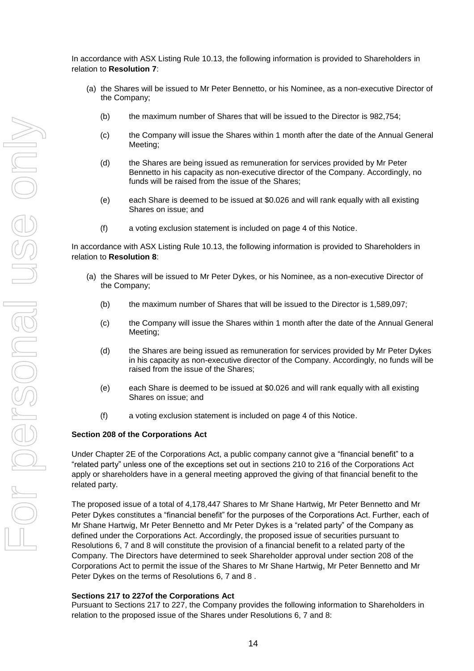In accordance with ASX Listing Rule 10.13, the following information is provided to Shareholders in relation to **Resolution 7**:

- (a) the Shares will be issued to Mr Peter Bennetto, or his Nominee, as a non-executive Director of the Company;
	- (b) the maximum number of Shares that will be issued to the Director is 982,754;
	- (c) the Company will issue the Shares within 1 month after the date of the Annual General Meeting;
	- (d) the Shares are being issued as remuneration for services provided by Mr Peter Bennetto in his capacity as non-executive director of the Company. Accordingly, no funds will be raised from the issue of the Shares;
	- (e) each Share is deemed to be issued at \$0.026 and will rank equally with all existing Shares on issue; and
	- (f) a voting exclusion statement is included on page 4 of this Notice.

In accordance with ASX Listing Rule 10.13, the following information is provided to Shareholders in relation to **Resolution 8**:

- (a) the Shares will be issued to Mr Peter Dykes, or his Nominee, as a non-executive Director of the Company;
	- (b) the maximum number of Shares that will be issued to the Director is 1,589,097;
	- (c) the Company will issue the Shares within 1 month after the date of the Annual General Meeting;
	- (d) the Shares are being issued as remuneration for services provided by Mr Peter Dykes in his capacity as non-executive director of the Company. Accordingly, no funds will be raised from the issue of the Shares;
	- (e) each Share is deemed to be issued at \$0.026 and will rank equally with all existing Shares on issue; and
	- (f) a voting exclusion statement is included on page 4 of this Notice.

#### **Section 208 of the Corporations Act**

Under Chapter 2E of the Corporations Act, a public company cannot give a "financial benefit" to a "related party" unless one of the exceptions set out in sections 210 to 216 of the Corporations Act apply or shareholders have in a general meeting approved the giving of that financial benefit to the related party.

The proposed issue of a total of 4,178,447 Shares to Mr Shane Hartwig, Mr Peter Bennetto and Mr Peter Dykes constitutes a "financial benefit" for the purposes of the Corporations Act. Further, each of Mr Shane Hartwig, Mr Peter Bennetto and Mr Peter Dykes is a "related party" of the Company as defined under the Corporations Act. Accordingly, the proposed issue of securities pursuant to Resolutions 6, 7 and 8 will constitute the provision of a financial benefit to a related party of the Company. The Directors have determined to seek Shareholder approval under section 208 of the Corporations Act to permit the issue of the Shares to Mr Shane Hartwig, Mr Peter Bennetto and Mr Peter Dykes on the terms of Resolutions 6, 7 and 8 .

#### **Sections 217 to 227of the Corporations Act**

Pursuant to Sections 217 to 227, the Company provides the following information to Shareholders in relation to the proposed issue of the Shares under Resolutions 6, 7 and 8: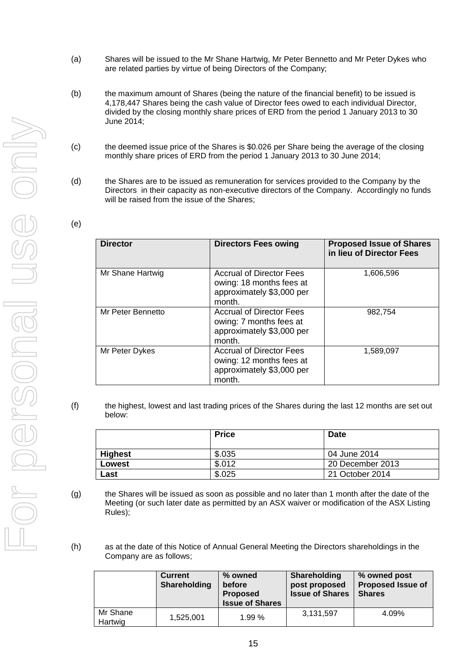- (a) Shares will be issued to the Mr Shane Hartwig, Mr Peter Bennetto and Mr Peter Dykes who are related parties by virtue of being Directors of the Company;
- (b) the maximum amount of Shares (being the nature of the financial benefit) to be issued is 4,178,447 Shares being the cash value of Director fees owed to each individual Director, divided by the closing monthly share prices of ERD from the period 1 January 2013 to 30 June 2014;
- (c) the deemed issue price of the Shares is \$0.026 per Share being the average of the closing monthly share prices of ERD from the period 1 January 2013 to 30 June 2014;
- (d) the Shares are to be issued as remuneration for services provided to the Company by the Directors in their capacity as non-executive directors of the Company. Accordingly no funds will be raised from the issue of the Shares;

| <b>Director</b>   | <b>Directors Fees owing</b>                                                                        | <b>Proposed Issue of Shares</b><br>in lieu of Director Fees |
|-------------------|----------------------------------------------------------------------------------------------------|-------------------------------------------------------------|
| Mr Shane Hartwig  | <b>Accrual of Director Fees</b><br>owing: 18 months fees at<br>approximately \$3,000 per<br>month. | 1,606,596                                                   |
| Mr Peter Bennetto | <b>Accrual of Director Fees</b><br>owing: 7 months fees at<br>approximately \$3,000 per<br>month.  | 982,754                                                     |
| Mr Peter Dykes    | <b>Accrual of Director Fees</b><br>owing: 12 months fees at<br>approximately \$3,000 per<br>month. | 1,589,097                                                   |

| I<br>× |  |
|--------|--|

(f) the highest, lowest and last trading prices of the Shares during the last 12 months are set out below:

|                | <b>Price</b> | <b>Date</b>      |
|----------------|--------------|------------------|
| <b>Highest</b> | \$.035       | 04 June 2014     |
| Lowest         | \$.012       | 20 December 2013 |
| Last           | \$.025       | 21 October 2014  |

- (g) the Shares will be issued as soon as possible and no later than 1 month after the date of the Meeting (or such later date as permitted by an ASX waiver or modification of the ASX Listing Rules);
- (h) as at the date of this Notice of Annual General Meeting the Directors shareholdings in the Company are as follows;

|                     | <b>Current</b><br>Shareholding | % owned<br>before<br><b>Proposed</b><br><b>Issue of Shares</b> | Shareholding<br>post proposed<br><b>Issue of Shares</b> | % owned post<br><b>Proposed Issue of</b><br><b>Shares</b> |
|---------------------|--------------------------------|----------------------------------------------------------------|---------------------------------------------------------|-----------------------------------------------------------|
| Mr Shane<br>Hartwig | 1,525,001                      | 1.99%                                                          | 3,131,597                                               | 4.09%                                                     |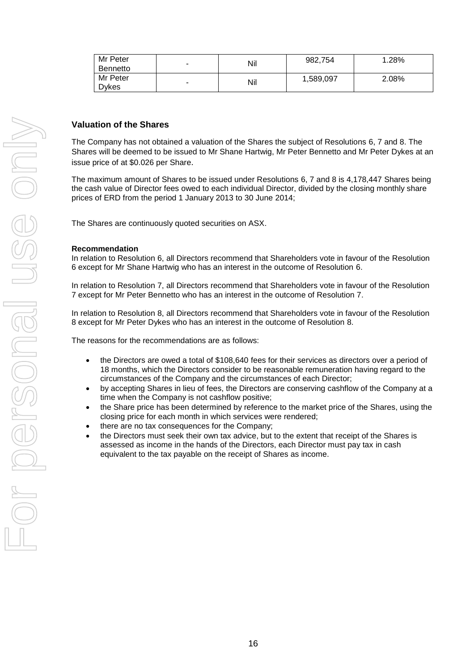| Mr Peter        |                          | Nil | 982,754   | 1.28% |
|-----------------|--------------------------|-----|-----------|-------|
| <b>Bennetto</b> | $\overline{\phantom{a}}$ |     |           |       |
| Mr Peter        |                          |     | 1,589,097 | 2.08% |
| Dvkes           | $\overline{\phantom{a}}$ | Nil |           |       |

#### **Valuation of the Shares**

The Company has not obtained a valuation of the Shares the subject of Resolutions 6, 7 and 8. The Shares will be deemed to be issued to Mr Shane Hartwig, Mr Peter Bennetto and Mr Peter Dykes at an issue price of at \$0.026 per Share.

The maximum amount of Shares to be issued under Resolutions 6, 7 and 8 is 4,178,447 Shares being the cash value of Director fees owed to each individual Director, divided by the closing monthly share prices of ERD from the period 1 January 2013 to 30 June 2014;

The Shares are continuously quoted securities on ASX.

#### **Recommendation**

In relation to Resolution 6, all Directors recommend that Shareholders vote in favour of the Resolution 6 except for Mr Shane Hartwig who has an interest in the outcome of Resolution 6.

In relation to Resolution 7, all Directors recommend that Shareholders vote in favour of the Resolution 7 except for Mr Peter Bennetto who has an interest in the outcome of Resolution 7.

In relation to Resolution 8, all Directors recommend that Shareholders vote in favour of the Resolution 8 except for Mr Peter Dykes who has an interest in the outcome of Resolution 8.

The reasons for the recommendations are as follows:

- the Directors are owed a total of \$108,640 fees for their services as directors over a period of 18 months, which the Directors consider to be reasonable remuneration having regard to the circumstances of the Company and the circumstances of each Director;
- by accepting Shares in lieu of fees, the Directors are conserving cashflow of the Company at a time when the Company is not cashflow positive;
- the Share price has been determined by reference to the market price of the Shares, using the closing price for each month in which services were rendered;
- there are no tax consequences for the Company;
- the Directors must seek their own tax advice, but to the extent that receipt of the Shares is assessed as income in the hands of the Directors, each Director must pay tax in cash equivalent to the tax payable on the receipt of Shares as income.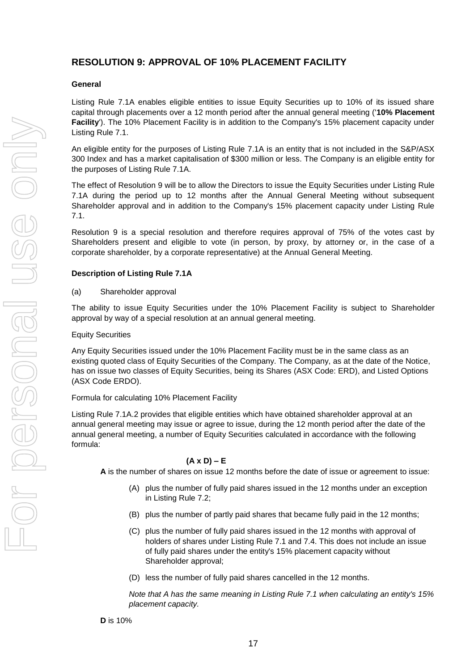# **RESOLUTION 9: APPROVAL OF 10% PLACEMENT FACILITY**

#### **General**

Listing Rule 7.1A enables eligible entities to issue Equity Securities up to 10% of its issued share capital through placements over a 12 month period after the annual general meeting ('**10% Placement Facility**'). The 10% Placement Facility is in addition to the Company's 15% placement capacity under Listing Rule 7.1.

An eligible entity for the purposes of Listing Rule 7.1A is an entity that is not included in the S&P/ASX 300 Index and has a market capitalisation of \$300 million or less. The Company is an eligible entity for the purposes of Listing Rule 7.1A.

The effect of Resolution 9 will be to allow the Directors to issue the Equity Securities under Listing Rule 7.1A during the period up to 12 months after the Annual General Meeting without subsequent Shareholder approval and in addition to the Company's 15% placement capacity under Listing Rule 7.1.

Resolution 9 is a special resolution and therefore requires approval of 75% of the votes cast by Shareholders present and eligible to vote (in person, by proxy, by attorney or, in the case of a corporate shareholder, by a corporate representative) at the Annual General Meeting.

#### **Description of Listing Rule 7.1A**

#### (a) Shareholder approval

The ability to issue Equity Securities under the 10% Placement Facility is subject to Shareholder approval by way of a special resolution at an annual general meeting.

#### Equity Securities

Any Equity Securities issued under the 10% Placement Facility must be in the same class as an existing quoted class of Equity Securities of the Company. The Company, as at the date of the Notice, has on issue two classes of Equity Securities, being its Shares (ASX Code: ERD), and Listed Options (ASX Code ERDO).

#### Formula for calculating 10% Placement Facility

Listing Rule 7.1A.2 provides that eligible entities which have obtained shareholder approval at an annual general meeting may issue or agree to issue, during the 12 month period after the date of the annual general meeting, a number of Equity Securities calculated in accordance with the following formula:

#### **(A x D) – E**

**A** is the number of shares on issue 12 months before the date of issue or agreement to issue:

- (A) plus the number of fully paid shares issued in the 12 months under an exception in Listing Rule 7.2;
- (B) plus the number of partly paid shares that became fully paid in the 12 months;
- (C) plus the number of fully paid shares issued in the 12 months with approval of holders of shares under Listing Rule 7.1 and 7.4. This does not include an issue of fully paid shares under the entity's 15% placement capacity without Shareholder approval;
- (D) less the number of fully paid shares cancelled in the 12 months.

17

*Note that A has the same meaning in Listing Rule 7.1 when calculating an entity's 15% placement capacity.*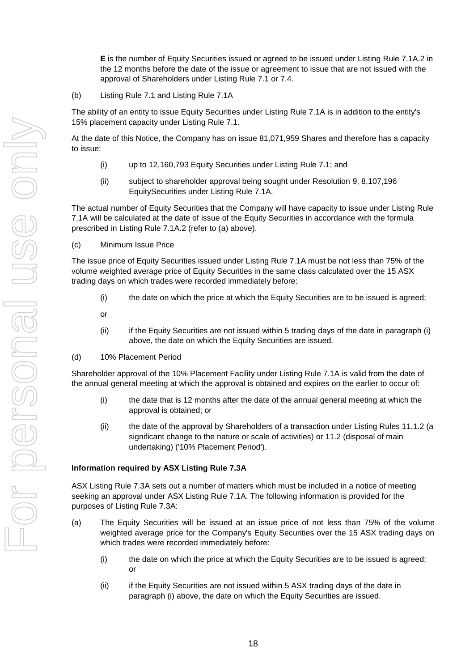**E** is the number of Equity Securities issued or agreed to be issued under Listing Rule 7.1A.2 in the 12 months before the date of the issue or agreement to issue that are not issued with the approval of Shareholders under Listing Rule 7.1 or 7.4.

(b) Listing Rule 7.1 and Listing Rule 7.1A

The ability of an entity to issue Equity Securities under Listing Rule 7.1A is in addition to the entity's 15% placement capacity under Listing Rule 7.1.

At the date of this Notice, the Company has on issue 81,071,959 Shares and therefore has a capacity to issue:

- (i) up to 12,160,793 Equity Securities under Listing Rule 7.1; and
- (ii) subject to shareholder approval being sought under Resolution 9, 8,107,196 EquitySecurities under Listing Rule 7.1A.

The actual number of Equity Securities that the Company will have capacity to issue under Listing Rule 7.1A will be calculated at the date of issue of the Equity Securities in accordance with the formula prescribed in Listing Rule 7.1A.2 (refer to (a) above).

(c) Minimum Issue Price

The issue price of Equity Securities issued under Listing Rule 7.1A must be not less than 75% of the volume weighted average price of Equity Securities in the same class calculated over the 15 ASX trading days on which trades were recorded immediately before:

- (i) the date on which the price at which the Equity Securities are to be issued is agreed;
- or
- (ii) if the Equity Securities are not issued within 5 trading days of the date in paragraph (i) above, the date on which the Equity Securities are issued.
- (d) 10% Placement Period

Shareholder approval of the 10% Placement Facility under Listing Rule 7.1A is valid from the date of the annual general meeting at which the approval is obtained and expires on the earlier to occur of:

- (i) the date that is 12 months after the date of the annual general meeting at which the approval is obtained; or
- (ii) the date of the approval by Shareholders of a transaction under Listing Rules 11.1.2 (a significant change to the nature or scale of activities) or 11.2 (disposal of main undertaking) ('10% Placement Period').

#### **Information required by ASX Listing Rule 7.3A**

ASX Listing Rule 7.3A sets out a number of matters which must be included in a notice of meeting seeking an approval under ASX Listing Rule 7.1A. The following information is provided for the purposes of Listing Rule 7.3A:

- (a) The Equity Securities will be issued at an issue price of not less than 75% of the volume weighted average price for the Company's Equity Securities over the 15 ASX trading days on which trades were recorded immediately before:
	- (i) the date on which the price at which the Equity Securities are to be issued is agreed; or
	- (ii) if the Equity Securities are not issued within 5 ASX trading days of the date in paragraph (i) above, the date on which the Equity Securities are issued.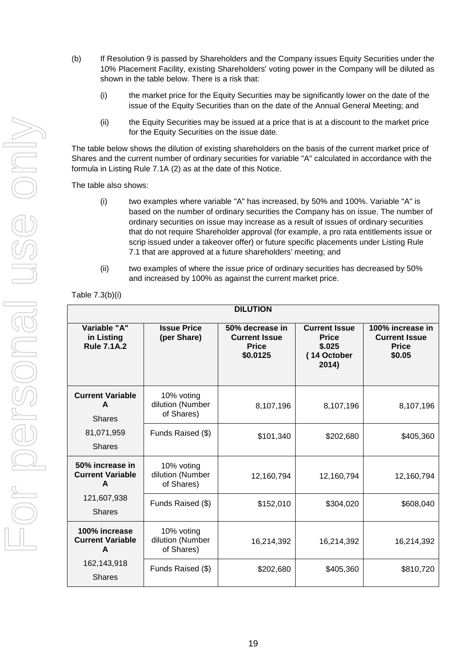- (b) If Resolution 9 is passed by Shareholders and the Company issues Equity Securities under the 10% Placement Facility, existing Shareholders' voting power in the Company will be diluted as shown in the table below. There is a risk that:
	- (i) the market price for the Equity Securities may be significantly lower on the date of the issue of the Equity Securities than on the date of the Annual General Meeting; and
	- (ii) the Equity Securities may be issued at a price that is at a discount to the market price for the Equity Securities on the issue date.

The table below shows the dilution of existing shareholders on the basis of the current market price of Shares and the current number of ordinary securities for variable "A" calculated in accordance with the formula in Listing Rule 7.1A (2) as at the date of this Notice.

The table also shows:

- (i) two examples where variable "A" has increased, by 50% and 100%. Variable "A" is based on the number of ordinary securities the Company has on issue. The number of ordinary securities on issue may increase as a result of issues of ordinary securities that do not require Shareholder approval (for example, a pro rata entitlements issue or scrip issued under a takeover offer) or future specific placements under Listing Rule 7.1 that are approved at a future shareholders' meeting; and
- (ii) two examples of where the issue price of ordinary securities has decreased by 50% and increased by 100% as against the current market price.

Table 7.3(b)(i)

| <b>DILUTION</b>                                  |                                              |                                                                     |                                                                        |                                                                    |
|--------------------------------------------------|----------------------------------------------|---------------------------------------------------------------------|------------------------------------------------------------------------|--------------------------------------------------------------------|
| Variable "A"<br>in Listing<br><b>Rule 7.1A.2</b> | <b>Issue Price</b><br>(per Share)            | 50% decrease in<br><b>Current Issue</b><br><b>Price</b><br>\$0.0125 | <b>Current Issue</b><br><b>Price</b><br>\$.025<br>(14 October<br>2014) | 100% increase in<br><b>Current Issue</b><br><b>Price</b><br>\$0.05 |
| <b>Current Variable</b><br>A<br><b>Shares</b>    | 10% voting<br>dilution (Number<br>of Shares) | 8,107,196                                                           | 8,107,196                                                              | 8,107,196                                                          |
| 81,071,959<br><b>Shares</b>                      | Funds Raised (\$)                            | \$101,340                                                           | \$202,680                                                              | \$405,360                                                          |
| 50% increase in<br><b>Current Variable</b><br>A  | 10% voting<br>dilution (Number<br>of Shares) | 12,160,794                                                          | 12,160,794                                                             | 12,160,794                                                         |
| 121,607,938<br><b>Shares</b>                     | Funds Raised (\$)                            | \$152,010                                                           | \$304,020                                                              | \$608,040                                                          |
| 100% increase<br><b>Current Variable</b><br>A    | 10% voting<br>dilution (Number<br>of Shares) | 16,214,392                                                          | 16,214,392                                                             | 16,214,392                                                         |
| 162,143,918<br><b>Shares</b>                     | Funds Raised (\$)                            | \$202,680                                                           | \$405,360                                                              | \$810,720                                                          |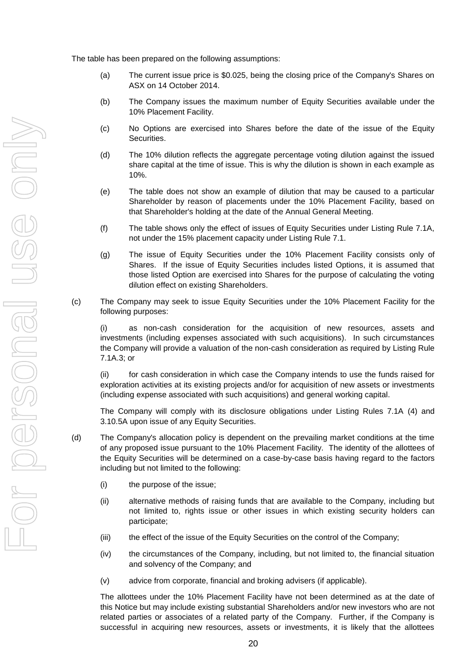The table has been prepared on the following assumptions:

- (a) The current issue price is \$0.025, being the closing price of the Company's Shares on ASX on 14 October 2014.
- (b) The Company issues the maximum number of Equity Securities available under the 10% Placement Facility.
- (c) No Options are exercised into Shares before the date of the issue of the Equity Securities.
- (d) The 10% dilution reflects the aggregate percentage voting dilution against the issued share capital at the time of issue. This is why the dilution is shown in each example as 10%.
- (e) The table does not show an example of dilution that may be caused to a particular Shareholder by reason of placements under the 10% Placement Facility, based on that Shareholder's holding at the date of the Annual General Meeting.
- (f) The table shows only the effect of issues of Equity Securities under Listing Rule 7.1A, not under the 15% placement capacity under Listing Rule 7.1.
- (g) The issue of Equity Securities under the 10% Placement Facility consists only of Shares. If the issue of Equity Securities includes listed Options, it is assumed that those listed Option are exercised into Shares for the purpose of calculating the voting dilution effect on existing Shareholders.
- (c) The Company may seek to issue Equity Securities under the 10% Placement Facility for the following purposes:

(i) as non-cash consideration for the acquisition of new resources, assets and investments (including expenses associated with such acquisitions). In such circumstances the Company will provide a valuation of the non-cash consideration as required by Listing Rule 7.1A.3; or

(ii) for cash consideration in which case the Company intends to use the funds raised for exploration activities at its existing projects and/or for acquisition of new assets or investments (including expense associated with such acquisitions) and general working capital.

The Company will comply with its disclosure obligations under Listing Rules 7.1A (4) and 3.10.5A upon issue of any Equity Securities.

- (d) The Company's allocation policy is dependent on the prevailing market conditions at the time of any proposed issue pursuant to the 10% Placement Facility. The identity of the allottees of the Equity Securities will be determined on a case-by-case basis having regard to the factors including but not limited to the following:
	- (i) the purpose of the issue;
	- (ii) alternative methods of raising funds that are available to the Company, including but not limited to, rights issue or other issues in which existing security holders can participate;
	- (iii) the effect of the issue of the Equity Securities on the control of the Company;
	- (iv) the circumstances of the Company, including, but not limited to, the financial situation and solvency of the Company; and
	- (v) advice from corporate, financial and broking advisers (if applicable).

The allottees under the 10% Placement Facility have not been determined as at the date of this Notice but may include existing substantial Shareholders and/or new investors who are not related parties or associates of a related party of the Company. Further, if the Company is successful in acquiring new resources, assets or investments, it is likely that the allottees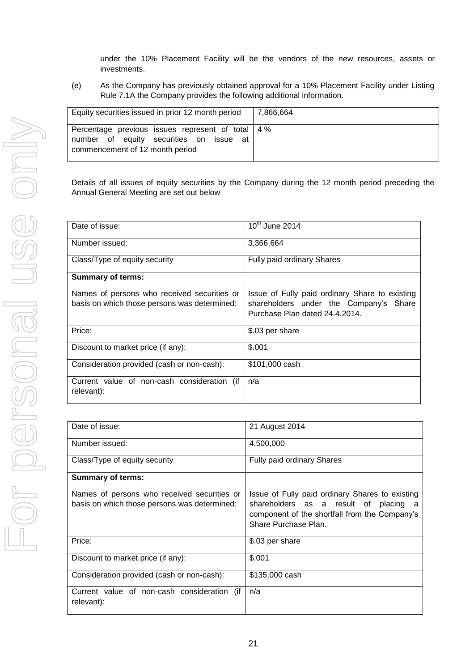under the 10% Placement Facility will be the vendors of the new resources, assets or investments.

(e) As the Company has previously obtained approval for a 10% Placement Facility under Listing Rule 7.1A the Company provides the following additional information.

| Equity securities issued in prior 12 month period                                                                                    | 7.866.664 |
|--------------------------------------------------------------------------------------------------------------------------------------|-----------|
| Percentage previous issues represent of total   4 %<br>number of equity securities on issue<br>at<br>commencement of 12 month period |           |

Details of all issues of equity securities by the Company during the 12 month period preceding the Annual General Meeting are set out below

| Date of issue:                                                                              | $10^{th}$ June 2014                                                                                                        |
|---------------------------------------------------------------------------------------------|----------------------------------------------------------------------------------------------------------------------------|
| Number issued:                                                                              | 3,366,664                                                                                                                  |
| Class/Type of equity security                                                               | Fully paid ordinary Shares                                                                                                 |
| <b>Summary of terms:</b>                                                                    |                                                                                                                            |
| Names of persons who received securities or<br>basis on which those persons was determined: | Issue of Fully paid ordinary Share to existing<br>shareholders under the Company's Share<br>Purchase Plan dated 24.4.2014. |
| Price:                                                                                      | \$.03 per share                                                                                                            |
| Discount to market price (if any):                                                          | \$.001                                                                                                                     |
| Consideration provided (cash or non-cash):                                                  | \$101,000 cash                                                                                                             |
| Current value of non-cash consideration (if<br>relevant):                                   | n/a                                                                                                                        |

| Date of issue:                                                                              | 21 August 2014                                                                                                                                                       |
|---------------------------------------------------------------------------------------------|----------------------------------------------------------------------------------------------------------------------------------------------------------------------|
| Number issued:                                                                              | 4,500,000                                                                                                                                                            |
| Class/Type of equity security                                                               | <b>Fully paid ordinary Shares</b>                                                                                                                                    |
| <b>Summary of terms:</b>                                                                    |                                                                                                                                                                      |
| Names of persons who received securities or<br>basis on which those persons was determined: | Issue of Fully paid ordinary Shares to existing<br>shareholders as a result of<br>placing a<br>component of the shortfall from the Company's<br>Share Purchase Plan. |
| Price:                                                                                      | \$.03 per share                                                                                                                                                      |
| Discount to market price (if any):                                                          | \$.001                                                                                                                                                               |
| Consideration provided (cash or non-cash):                                                  | \$135,000 cash                                                                                                                                                       |
| Current value of non-cash consideration (if<br>relevant):                                   | n/a                                                                                                                                                                  |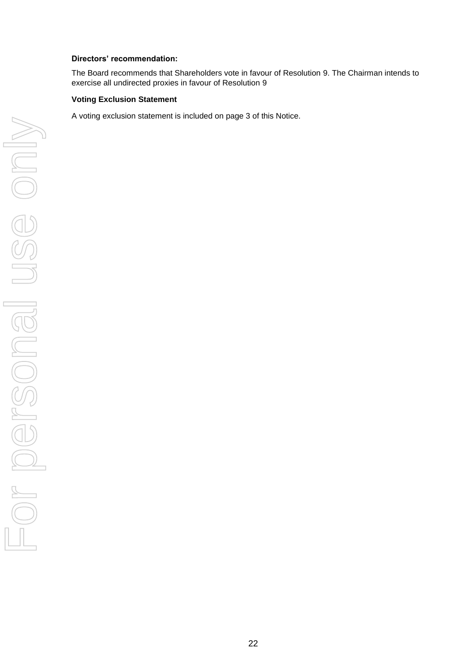#### **Directors' recommendation:**

The Board recommends that Shareholders vote in favour of Resolution 9. The Chairman intends to exercise all undirected proxies in favour of Resolution 9

#### **Voting Exclusion Statement**

A voting exclusion statement is included on page 3 of this Notice.